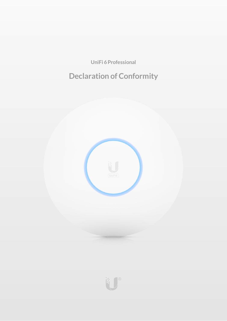**UniFi 6Professional**

# **Declaration of Conformity**

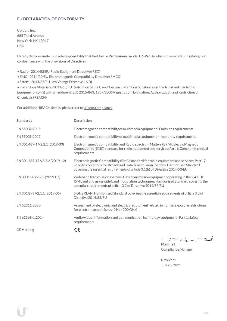# **EU DECLARATION OF CONFORMITY**

Ubiquiti Inc. 685 Third Avenue NewYork, NY 10017 USA

Hereby declares under our sole responsibility thatthe**UniFi 6 Professional**, model **U6-Pro**, to which this declaration relates, is in conformancewith the provisions of Directives

- Radio 2014/53/EU Radio Equipment Directive (RED)
- EMC- 2014/30/EU Electromagnetic Compatibility Directive (EMCD)
- Safety 2014/35/EU Low Voltage Directive (LVD)

• HazardousMaterials - 2011/65/EU Restriction oftheUse ofCertain Hazardous Substances in Electrical and Electronic Equipment(RoHS) with amendment(EU) 2015/863; 1907/2006 Registration, Evaluation, Authorization and Restriction of Chemicals (REACH)

For additional REACH details, please refer to [ui.com/compliance](https://www.ui.com/compliance/)

| <b>Standards</b>               | Description                                                                                                                                                                                                                                                  |
|--------------------------------|--------------------------------------------------------------------------------------------------------------------------------------------------------------------------------------------------------------------------------------------------------------|
| EN 55032:2015                  | Electromagnetic compatibility of multimedia equipment - Emission requirements                                                                                                                                                                                |
| EN 55035:2017                  | Electromagnetic compatibility of multimedia equipment – Immunity requirements                                                                                                                                                                                |
| EN 301 489-1 V2.2.1 (2019-03)  | Electromagnetic compatibility and Radio spectrum Matters (ERM); ElectroMagnetic<br>Compatibility (EMC) standard for radio equipment and services; Part 1: Common technical<br>requirements                                                                   |
| EN 301 489-17 V3.2.2 (2019-12) | ElectroMagnetic Compatibility (EMC) standard for radio equipment and services; Part 17:<br>Specific conditions for Broadband Data Transmission Systems; Harmonised Standard<br>covering the essential requirements of article 3.1(b) of Directive 2014/53/EU |
| EN 300 328 v2.2.2 (2019-07)    | Wideband transmission systems; Data transmission equipment operating in the 2,4 GHz<br>ISM band and using wide band modulation techniques; Harmonised Standard covering the<br>essential requirements of article 3.2 of Directive 2014/53/EU                 |
| EN 301 893 V2.1.1 (2017-05)    | 5 GHz RLAN; Harmonised Standard covering the essential requirements of article 3.2 of<br>Directive 2014/53/EU                                                                                                                                                |
| EN 62311:2020                  | Assessment of electronic and electrical equipment related to human exposure restrictions<br>for electromagnetic fields (0 Hz - 300 GHz)                                                                                                                      |
| EN 62368-1:2014                | Audio/video, information and communication technology equipment - Part 1: Safety<br>requirements                                                                                                                                                             |
| <b>CE</b> Marking              | CE                                                                                                                                                                                                                                                           |

كمنعة  $\sum_{n=1}^{\infty}$  $\overline{\phantom{a}}$ 

Mark Feil ComplianceManager

NewYork July 28, 2021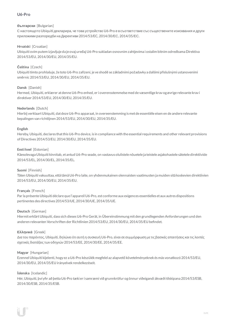# **U6-Pro**

## **български** [Bulgarian]

С настоящото Ubiquiti декларира, че това устройство U6-Pro е в съответствие със съществените изисквания и други приложими разпоредби на Директиви 2014/53/EC, 2014/30/ЕС, 2014/35/ЕС.

# **Hrvatski** [Croatian]

Ubiquiti ovim putem izjavljuje da je ovaj uređaj U6-Pro sukladan osnovnim zahtjevima i ostalim bitnim odredbama Direktiva 2014/53/EU, 2014/30/EU, 2014/35/EU.

# **Čeština** [Czech]

Ubiquititímto prohlašuje, že toto U6-Pro zařízení, je ve shodě se základními požadavky a dalšími příslušnými ustanoveními směrnic 2014/53/EU, 2014/30/EU, 2014/35/EU.

# **Dansk** [Danish]

Hermed, Ubiquiti, erklærer atdenneU6-Pro enhed, er i overensstemmelse med de væsentlige krav og øvrige relevante krav i direktiver 2014/53/EU, 2014/30/EU, 2014/35/EU.

## **Nederlands** [Dutch]

Hierbij verklaartUbiquiti, datdezeU6-Pro apparaat, in overeenstemming is metde essentiële eisen en de andere relevante bepalingen van richtlijnen 2014/53/EU, 2014/30/EU, 2014/35/EU.

## **English**

Hereby, Ubiquiti, declares that this U6-Pro device, is in compliance with the essential requirements and other relevant provisions of Directives 2014/53/EU, 2014/30/EU, 2014/35/EU.

## **Eesti keel** [Estonian]

Käesolevaga Ubiquiti kinnitab, et antud U6-Pro seade, on vastavus olulistele nõuetele ja teistele asjakohastele sätetele direktiivide 2014/53/EL, 2014/30/EL, 2014/35/EL.

## **Suomi** [Finnish]

Täten Ubiquiti vakuuttaa, että tämä U6-Pro laite, on yhdenmukainen olennaisten vaatimusten ja muiden sitä koskevien direktiivien 2014/53/EU, 2014/30/EU, 2014/35/EU.

## **Français** [French]

Par la présente Ubiquiti déclare que l'appareil U6-Pro, est conforme aux exigences essentielles et aux autres dispositions pertinentes des directives 2014/53/UE, 2014/30/UE, 2014/35/UE.

## **Deutsch** [German]

HiermiterklärtUbiquiti, dass sich dieses U6-Pro Gerät, in Übereinstimmung mitden grundlegenden Anforderungen und den anderen relevanten Vorschriften der Richtlinien 2014/53/EU, 2014/30/EU, 2014/35/EU befindet.

## **Ελληνικά** [Greek]

Δια του παρόντος, Ubiquiti, δηλώνει ότι αυτή η συσκευή U6-Pro, είναι σεσυµµόρφωση µε τις βασικές απαιτήσεις καιτις λοιπές σχετικές διατάξεις των οδηγιών 2014/53/EE, 2014/30/EE, 2014/35/EE.

#### **Magyar** [Hungarian]

Ezennel Ubiquiti kijelenti, hogy ez a U6-Pro készülék megfelel az alapvető követelményeknek és más vonatkozó 2014/53/EU, 2014/30/EU, 2014/35/EU irányelvek rendelkezéseit.

## **Íslenska** [Icelandic]

Hér, Ubiquiti, því yfir að þetta U6-Pro tæki er í samræmi við grunnkröfur og önnur viðeigandi ákvæði tilskipana 2014/53/ESB, 2014/30/ESB, 2014/35/ESB.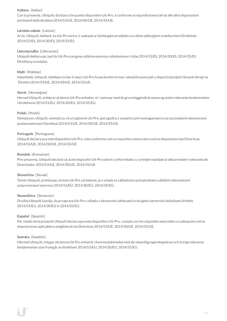## **Italiano** [Italian]

Con la presente, Ubiquiti, dichiara che questo dispositivo U6-Pro, è conforme ai requisiti essenziali ed alle altre disposizioni pertinenti delle direttive2014/53/UE, 2014/30/UE, 2014/35/UE.

## **Latviešu valoda** [Latvian]

Ar šo, Ubiquiti, deklarē, ka U6-Pro ierīce, ir saskaņā ar būtiskajām prasībām un citiem attiecīgiem noteikumiem Direktīvās 2014/53/ES, 2014/30/ES, 2014/35/ES.

## **Lietuviųkalba** [Lithuanian]

Ubiquiti deklaruoja, kad šis U6-Pro įrenginys atitinka esminius reikalavimus ir kitas 2014/53/ES, 2014/30/ES, 2014/35/ES Direktyvų nuostatas.

#### **Malti** [Maltese]

Hawnhekk, Ubiquiti, tiddikjara li dan il-mezz U6-Pro huwa konformi mar-rekwiżiti essenzjali u dispożizzjonijiet rilevanti oħrajn ta 'Direttivi 2014/53/UE, 2014/30/UE, 2014/35/UE.

#### **Norsk** [Norwegian]

Herved Ubiquiti, erklærer atdenneU6-Pro enheten, er i samsvar med de grunnleggende kravene og andre relevante bestemmelser i direktivene2014/53/EU, 2014/30/EU, 2014/35/EU.

## **Polski** [Polish]

Niniejszym, Ubiquiti, oświadcza, że urządzenieU6-Pro, jest zgodny z zasadniczymi wymaganiami oraz pozostałymi stosownymi postanowieniami Dyrektyw2014/53/UE, 2014/30/UE, 2014/35/UE.

#### **Português** [Portuguese]

Ubiquiti declara que este dispositivo U6-Pro, está conforme com os requisitos essenciais e outras disposições das Directivas 2014/53/UE, 2014/30/UE, 2014/35/UE.

#### **Română** [Romanian]

Prin prezenta, Ubiquiti declară că acestdispozitiv U6-Pro este în conformitate cu cerințele esențiale și alte prevederi relevante ale Directivelor 2014/53/UE, 2014/30/UE, 2014/35/UE.

#### **Slovenčina** [Slovak]

Týmto Ubiquiti, prehlasuje, že toto U6-Pro zariadenie, je v súlade so základnými požiadavkami a ďalšími relevantnými ustanoveniami smernice2014/53/EÚ, 2014/30/EÚ, 2014/35/EÚ.

#### **Slovenščina** [Slovenian]

Družba Ubiquiti izjavlja, da je naprava U6-Pro v skladu z obveznimi zahtevami in drugimi ustreznimi določbami direktiv 2014/53/EU, 2014/30/EU in 2014/35/EU.

#### **Español** [Spanish]

Por medio de la presente Ubiquiti declara que este dispositivo U6-Pro, cumple con los requisitos esenciales y cualesquiera otras disposiciones aplicables o exigibles de lasDirectivas 2014/53/UE, 2014/30/UE, 2014/35/UE.

#### **Svenska** [Swedish]

Härmed Ubiquiti, intygar attdenna U6-Pro enhet är i överensstämmelse med de väsentliga egenskapskrav och övriga relevanta bestämmelser som framgår av direktiven 2014/53/EU, 2014/30/EU, 2014/35/EU.